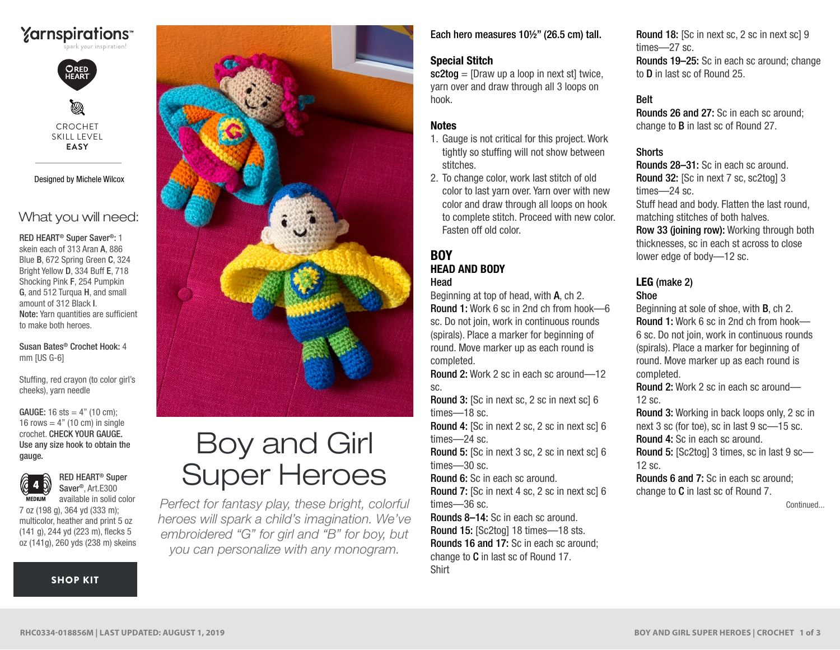



Ø CROCHET SKILL LEVEL **EASY**

Designed by Michele Wilcox

### What you will need:

RED HEART® Super Saver®: 1 skein each of 313 Aran A, 886 Blue B, 672 Spring Green C, 324 Bright Yellow D, 334 Buff E, 718 Shocking Pink F, 254 Pumpkin G, and 512 Turqua H, and small amount of 312 Black I. Note: Yarn quantities are sufficient to make both heroes.

Susan Bates® Crochet Hook: 4 mm [US G-6]

Stuffing, red crayon (to color girl's cheeks), yarn needle

crochet. CHECK YOUR GAUGE. Use any size hook to obtain the gauge. **GAUGE:** 16 sts =  $4"$  (10 cm): 16 rows  $=$  4" (10 cm) in single



RED HEART® Super Saver®, Art.E300 available in solid color

7 oz (198 g), 364 yd (333 m); multicolor, heather and print 5 oz (141 g), 244 yd (223 m), flecks 5 oz (141g), 260 yds (238 m) skeins

#### [SHOP KIT](https://www.yarnspirations.com/red-heart-boy-and-girl-super-heroes/RHC0334-018856M.html#utm_source=pdf-yarnspirations&utm_medium=referral&utm_campaign=pdf-RHC0334-018856M)



# Boy and Girl Super Heroes

*Perfect for fantasy play, these bright, colorful heroes will spark a child's imagination. We've embroidered "G" for girl and "B" for boy, but you can personalize with any monogram.*

Each hero measures 10½" (26.5 cm) tall.

#### Special Stitch

 $sc2tog = [Draw up a loop in next st] twice.$ yarn over and draw through all 3 loops on hook.

#### **Notes**

- 1. Gauge is not critical for this project. Work tightly so stuffing will not show between stitches.
- 2. To change color, work last stitch of old color to last yarn over. Yarn over with new color and draw through all loops on hook to complete stitch. Proceed with new color. Fasten off old color.

# **BOY** HEAD AND BODY

Head

Beginning at top of head, with A, ch 2. Round 1: Work 6 sc in 2nd ch from hook—6 sc. Do not join, work in continuous rounds (spirals). Place a marker for beginning of round. Move marker up as each round is completed.

Round 2: Work 2 sc in each sc around—12 sc.

Round 3: [Sc in next sc, 2 sc in next sc] 6 times—18 sc.

Round 4: [Sc in next 2 sc, 2 sc in next sc] 6 times—24 sc.

Round 5: [Sc in next 3 sc, 2 sc in next sc] 6 times—30 sc.

Round 6: Sc in each sc around.

Round 7: [Sc in next 4 sc, 2 sc in next sc] 6 times—36 sc.

Rounds 8–14: Sc in each sc around. Round 15: [Sc2tog] 18 times—18 sts. Rounds 16 and 17: Sc in each sc around; change to C in last sc of Round 17. Shirt

Round 18: [Sc in next sc, 2 sc in next sc] 9 times—27 sc.

Rounds 19–25: Sc in each sc around; change to D in last sc of Round 25.

#### Belt

Rounds 26 and 27: Sc in each sc around; change to B in last sc of Round 27.

#### **Shorts**

Rounds 28–31: Sc in each sc around. Round 32: [Sc in next 7 sc, sc2tog] 3 times—24 sc.

Stuff head and body. Flatten the last round, matching stitches of both halves.

Row 33 (joining row): Working through both thicknesses, sc in each st across to close lower edge of body—12 sc.

#### LEG (make 2) Shoe

Beginning at sole of shoe, with B, ch 2. Round 1: Work 6 sc in 2nd ch from hook— 6 sc. Do not join, work in continuous rounds (spirals). Place a marker for beginning of round. Move marker up as each round is completed.

Round 2: Work 2 sc in each sc around—  $12$  sc.

Round 3: Working in back loops only, 2 sc in next 3 sc (for toe), sc in last 9 sc—15 sc. Round 4: Sc in each sc around.

Round 5: [Sc2tog] 3 times, sc in last 9 sc—  $12$  sc.

Rounds 6 and 7: Sc in each sc around; change to C in last sc of Round 7.

Continued...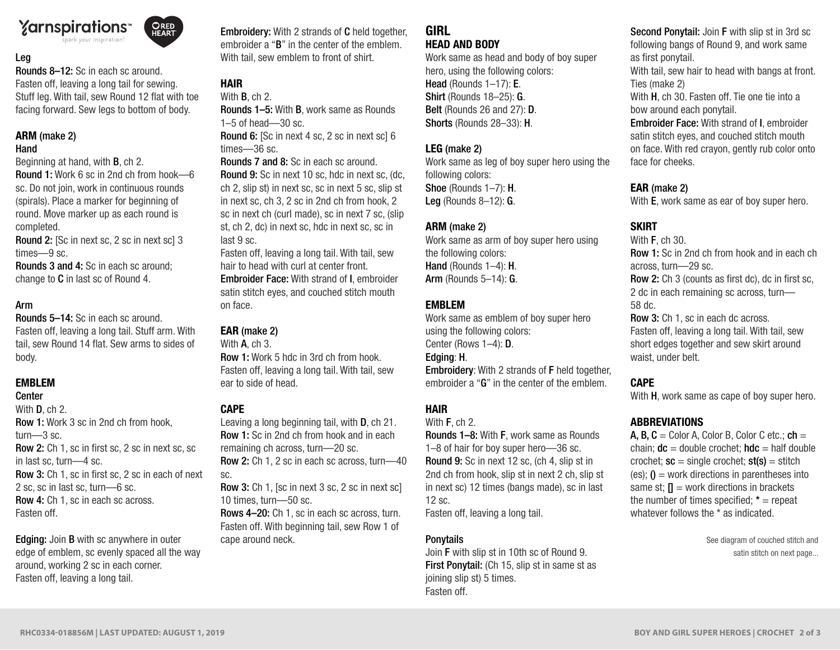# **Yarnspirations**



Rounds 8–12: Sc in each sc around. Fasten off, leaving a long tail for sewing. Stuff leg. With tail, sew Round 12 flat with toe facing forward. Sew legs to bottom of body.

ORED<br>HEART

# ARM (make 2)

#### Hand

Beginning at hand, with B, ch 2.

Round 1: Work 6 sc in 2nd ch from hook—6 sc. Do not join, work in continuous rounds (spirals). Place a marker for beginning of round. Move marker up as each round is completed.

Round 2: [Sc in next sc, 2 sc in next sc] 3 times—9 sc.

Rounds 3 and 4: Sc in each sc around; change to C in last sc of Round 4.

### Arm

Rounds 5–14: Sc in each sc around. Fasten off, leaving a long tail. Stuff arm. With tail, sew Round 14 flat. Sew arms to sides of body.

### EMBLEM

#### Center

With **D**, ch 2. Row 1: Work 3 sc in 2nd ch from hook, turn—3 sc. Row 2: Ch 1, sc in first sc, 2 sc in next sc, sc in last sc, turn—4 sc. Row 3: Ch 1, sc in first sc, 2 sc in each of next 2 sc, sc in last sc, turn—6 sc. Row 4: Ch 1, sc in each sc across. Fasten off.

Edging: Join B with sc anywhere in outer edge of emblem, sc evenly spaced all the way around, working 2 sc in each corner. Fasten off, leaving a long tail.

Embroidery: With 2 strands of C held together, embroider a "B" in the center of the emblem. With tail, sew emblem to front of shirt.

# HAIR

With B, ch 2. Rounds 1–5: With B, work same as Rounds 1–5 of head—30 sc.

Round 6: [Sc in next 4 sc, 2 sc in next sc] 6 times—36 sc.

Rounds 7 and 8: Sc in each sc around. Round 9: Sc in next 10 sc, hdc in next sc, (dc, ch 2, slip st) in next sc, sc in next 5 sc, slip st in next sc, ch 3, 2 sc in 2nd ch from hook, 2 sc in next ch (curl made), sc in next 7 sc, (slip st, ch 2, dc) in next sc, hdc in next sc, sc in last 9 sc.

Fasten off, leaving a long tail. With tail, sew hair to head with curl at center front. Embroider Face: With strand of I, embroider satin stitch eyes, and couched stitch mouth on face.

# EAR (make 2)

With **A**, ch 3.

Row 1: Work 5 hdc in 3rd ch from hook. Fasten off, leaving a long tail. With tail, sew ear to side of head.

# **CAPE**

Leaving a long beginning tail, with D, ch 21. Row 1: Sc in 2nd ch from hook and in each remaining ch across, turn—20 sc. Row 2: Ch 1, 2 sc in each sc across, turn—40 sc. Row 3: Ch 1, [sc in next 3 sc, 2 sc in next sc]

10 times, turn—50 sc.

Rows 4–20: Ch 1, sc in each sc across, turn. Fasten off. With beginning tail, sew Row 1 of cape around neck.

#### GIRL HEAD AND BODY

Work same as head and body of boy super hero, using the following colors: Head (Rounds 1-17): E. Shirt (Rounds 18–25): G. Belt (Rounds 26 and 27): **D**. Shorts (Rounds 28–33): H.

## LEG (make 2)

Work same as leg of boy super hero using the following colors: Shoe (Rounds 1–7): H. Leg (Rounds 8–12): G.

# ARM (make 2)

Work same as arm of boy super hero using the following colors: Hand (Rounds 1-4): H. Arm (Rounds 5–14): G.

# EMBLEM

Work same as emblem of boy super hero using the following colors: Center (Rows 1–4): D. Edging: H. Embroidery: With 2 strands of F held together, embroider a "G" in the center of the emblem.

# HAIR

With F, ch 2.

Rounds 1–8: With F, work same as Rounds 1–8 of hair for boy super hero—36 sc. Round 9: Sc in next 12 sc, (ch 4, slip st in 2nd ch from hook, slip st in next 2 ch, slip st in next sc) 12 times (bangs made), sc in last 12 sc.

Fasten off, leaving a long tail.

# **Ponytails**

Join F with slip st in 10th sc of Round 9. First Ponytail: (Ch 15, slip st in same st as joining slip st) 5 times. Fasten off.

Second Ponytail: Join F with slip st in 3rd sc following bangs of Round 9, and work same as first ponytail.

With tail, sew hair to head with bangs at front. Ties (make 2)

With H, ch 30. Fasten off. Tie one tie into a bow around each ponytail.

Embroider Face: With strand of I, embroider satin stitch eyes, and couched stitch mouth on face. With red crayon, gently rub color onto face for cheeks.

# EAR (make 2)

With **E**, work same as ear of boy super hero.

# **SKIRT**

With **F**, ch 30. Row 1: Sc in 2nd ch from hook and in each ch across, turn—29 sc. Row 2: Ch 3 (counts as first dc), dc in first sc, 2 dc in each remaining sc across, turn— 58 dc. Row 3: Ch 1, sc in each dc across. Fasten off, leaving a long tail. With tail, sew

short edges together and sew skirt around waist, under belt.

# **CAPE**

With **H**, work same as cape of boy super hero.

# ABBREVIATIONS

A, B,  $C =$  Color A, Color B, Color C etc.; ch = chain;  $dc =$  double crochet;  $hdc =$  half double crochet;  $sc = single\,c$ (es);  $\mathbf{0}$  = work directions in parentheses into same st;  $\P$  = work directions in brackets the number of times specified;  $* =$  repeat whatever follows the \* as indicated.

> See diagram of couched stitch and satin stitch on next page...